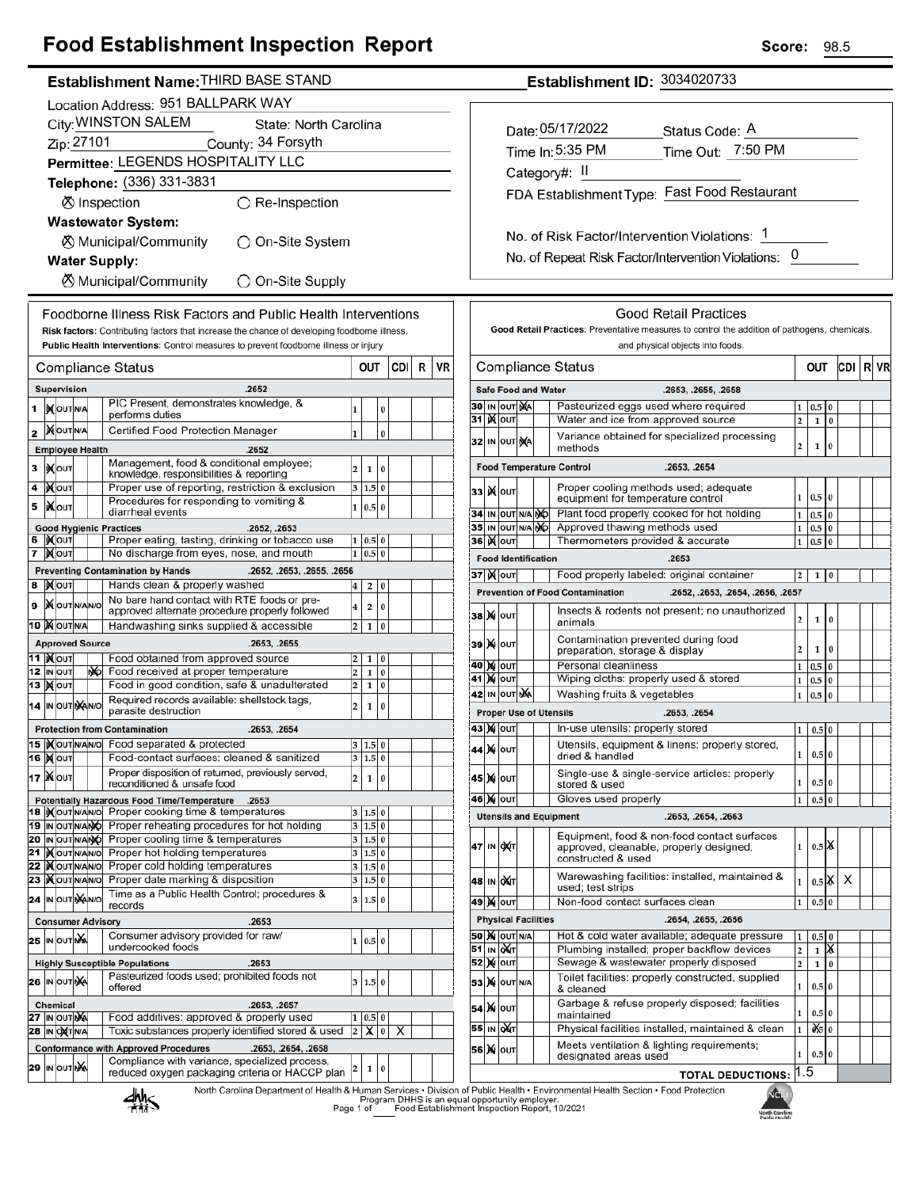## **Food Establishment Inspection Report**

| Establishment Name: THIRD BASE STAND |
|--------------------------------------|
|                                      |

|                                                  |                                                      |                                      |  |    | Location Address: 951 BALLPARK WAY                                                                                                                                                   |                                                    |                |          |     |   |    |
|--------------------------------------------------|------------------------------------------------------|--------------------------------------|--|----|--------------------------------------------------------------------------------------------------------------------------------------------------------------------------------------|----------------------------------------------------|----------------|----------|-----|---|----|
| City: WINSTON SALEM<br>State: North Carolina     |                                                      |                                      |  |    |                                                                                                                                                                                      |                                                    |                |          |     |   |    |
| Zip: 27101<br>County: 34 Forsyth                 |                                                      |                                      |  |    |                                                                                                                                                                                      |                                                    |                |          |     |   |    |
| Permittee: LEGENDS HOSPITALITY LLC               |                                                      |                                      |  |    |                                                                                                                                                                                      |                                                    |                |          |     |   |    |
|                                                  |                                                      |                                      |  |    | Telephone: (336) 331-3831                                                                                                                                                            |                                                    |                |          |     |   |    |
|                                                  |                                                      |                                      |  |    |                                                                                                                                                                                      |                                                    |                |          |     |   |    |
|                                                  |                                                      |                                      |  |    | ⊗ Inspection<br>$\bigcirc$ Re-Inspection                                                                                                                                             |                                                    |                |          |     |   |    |
|                                                  |                                                      |                                      |  |    | <b>Wastewater System:</b>                                                                                                                                                            |                                                    |                |          |     |   |    |
| ⊗ Municipal/Community<br>◯ On-Site System        |                                                      |                                      |  |    |                                                                                                                                                                                      |                                                    |                |          |     |   |    |
| <b>Water Supply:</b>                             |                                                      |                                      |  |    |                                                                                                                                                                                      |                                                    |                |          |     |   |    |
| <b>X</b> Municipal/Community<br>◯ On-Site Supply |                                                      |                                      |  |    |                                                                                                                                                                                      |                                                    |                |          |     |   |    |
|                                                  |                                                      |                                      |  |    |                                                                                                                                                                                      |                                                    |                |          |     |   |    |
|                                                  |                                                      |                                      |  |    | Foodborne Illness Risk Factors and Public Health Interventions                                                                                                                       |                                                    |                |          |     |   |    |
|                                                  |                                                      |                                      |  |    | Risk factors: Contributing factors that increase the chance of developing foodborne illness.<br>Public Health Interventions: Control measures to prevent foodborne illness or injury |                                                    |                |          |     |   |    |
|                                                  |                                                      |                                      |  |    |                                                                                                                                                                                      |                                                    |                |          |     |   |    |
|                                                  |                                                      |                                      |  |    | <b>Compliance Status</b>                                                                                                                                                             |                                                    | OUT            |          | CDI | R | VR |
|                                                  |                                                      | Supervision                          |  |    | .2652                                                                                                                                                                                |                                                    |                |          |     |   |    |
| 1                                                |                                                      | <b>IX</b> OUTNA                      |  |    | PIC Present, demonstrates knowledge, &<br>performs duties                                                                                                                            | 1                                                  |                | 0        |     |   |    |
| 2                                                |                                                      | <b>MOUTNA</b>                        |  |    | Certified Food Protection Manager                                                                                                                                                    | 1                                                  |                | 0        |     |   |    |
|                                                  |                                                      | <b>Employee Health</b>               |  |    | .2652                                                                                                                                                                                |                                                    |                |          |     |   |    |
| з                                                |                                                      | <b>IX</b> OUT                        |  |    | Management, food & conditional employee;                                                                                                                                             | 2                                                  | 1              | 0        |     |   |    |
| 4                                                |                                                      | іХ∣оυт                               |  |    | knowledge, responsibilities & reporting<br>Proper use of reporting, restriction & exclusion                                                                                          | 3                                                  | 1.5            | 0        |     |   |    |
| 5                                                |                                                      | ∣i <b>X</b> ∣ouт                     |  |    | Procedures for responding to vomiting &                                                                                                                                              | 1                                                  | 0.5            | $\bf{0}$ |     |   |    |
|                                                  |                                                      |                                      |  |    | diarrheal events                                                                                                                                                                     |                                                    |                |          |     |   |    |
| 6                                                |                                                      | <b>XOUT</b>                          |  |    | <b>Good Hygienic Practices</b><br>.2652, .2653<br>Proper eating, tasting, drinking or tobacco use                                                                                    |                                                    | 0.5            | 0        |     |   |    |
| 7                                                |                                                      | <b>XOUT</b>                          |  |    | No discharge from eyes, nose, and mouth                                                                                                                                              | 1                                                  | 0.5            | $\bf{0}$ |     |   |    |
|                                                  |                                                      |                                      |  |    | <b>Preventing Contamination by Hands</b><br>.2652, .2653, .2655, .2656                                                                                                               |                                                    |                |          |     |   |    |
| 8                                                |                                                      | <b>X</b> OUT                         |  |    | Hands clean & properly washed                                                                                                                                                        | 4                                                  | 2              | 0        |     |   |    |
| 9                                                |                                                      | <b>X</b> OUTNANO                     |  |    | No bare hand contact with RTE foods or pre-<br>approved alternate procedure properly followed                                                                                        | 4                                                  | 2              | 0        |     |   |    |
|                                                  | 10 MOUTNA<br>Handwashing sinks supplied & accessible |                                      |  |    |                                                                                                                                                                                      |                                                    |                |          |     |   |    |
|                                                  |                                                      | <b>Approved Source</b>               |  |    | .2653, .2655                                                                                                                                                                         |                                                    |                |          |     |   |    |
|                                                  |                                                      | 11  ) <b>(</b> ouт                   |  |    | Food obtained from approved source                                                                                                                                                   | 2                                                  | 1              | 0        |     |   |    |
| 13                                               |                                                      | 12 IN OUT<br><b>X</b> OUT            |  | NO | Food received at proper temperature<br>Food in good condition, safe & unadulterated                                                                                                  | $\overline{\mathbf{c}}$<br>$\overline{\mathbf{c}}$ | 1<br>1         | 0<br>0   |     |   |    |
|                                                  |                                                      |                                      |  |    | Required records available: shellstock tags,                                                                                                                                         |                                                    |                |          |     |   |    |
|                                                  |                                                      | 14 IN OUT NAINO                      |  |    | parasite destruction                                                                                                                                                                 | $\overline{\mathbf{c}}$                            | 1              | 0        |     |   |    |
|                                                  |                                                      |                                      |  |    | <b>Protection from Contamination</b><br>.2653, .2654                                                                                                                                 |                                                    |                |          |     |   |    |
|                                                  |                                                      |                                      |  |    | 15  Xour NANO Food separated & protected                                                                                                                                             | 3                                                  | 1.5 0          |          |     |   |    |
|                                                  |                                                      | 16 Mout                              |  |    | Food-contact surfaces: cleaned & sanitized<br>Proper disposition of returned, previously served,                                                                                     |                                                    | 3 1.5 0        |          |     |   |    |
|                                                  |                                                      | 17   Χ Ιουτ                          |  |    | reconditioned & unsafe food                                                                                                                                                          | 2                                                  | 1              | 0        |     |   |    |
|                                                  |                                                      |                                      |  |    | <b>Potentially Hazardous Food Time/Temperature</b><br>.2653                                                                                                                          |                                                    |                |          |     |   |    |
|                                                  |                                                      | 18  IX OUT N/AN/O<br>19  IN OUTN/ANO |  |    | Proper cooking time & temperatures<br>Proper reheating procedures for hot holding                                                                                                    | 3<br>3                                             | 1.5 0<br>1.5 0 |          |     |   |    |
|                                                  |                                                      | 20 IN OUTNANO                        |  |    | Proper cooling time & temperatures                                                                                                                                                   | 3                                                  | 1.5 0          |          |     |   |    |
|                                                  |                                                      | 21  )(OUTN/AN/O                      |  |    | Proper hot holding temperatures                                                                                                                                                      | 3                                                  | 1.5 0          |          |     |   |    |
| 22                                               |                                                      | <b>XOUTNANO</b><br>23  ) OUTNANO     |  |    | Proper cold holding temperatures<br>Proper date marking & disposition                                                                                                                | 3<br>3                                             | 1.5 0<br>1.5 0 |          |     |   |    |
|                                                  |                                                      | 24  IN OUT NAN/O                     |  |    | Time as a Public Health Control; procedures &                                                                                                                                        | 3                                                  | 1.5            | 0        |     |   |    |
|                                                  |                                                      |                                      |  |    | records                                                                                                                                                                              |                                                    |                |          |     |   |    |
|                                                  |                                                      |                                      |  |    | <b>Consumer Advisory</b><br>.2653                                                                                                                                                    |                                                    |                |          |     |   |    |
|                                                  |                                                      | 25  in out nX                        |  |    | Consumer advisory provided for raw/<br>undercooked foods                                                                                                                             | 1                                                  | 0.5 0          |          |     |   |    |
|                                                  |                                                      |                                      |  |    | <b>Highly Susceptible Populations</b><br>.2653                                                                                                                                       |                                                    |                |          |     |   |    |
|                                                  |                                                      | <b>26  IN OUT NA</b>                 |  |    | Pasteurized foods used; prohibited foods not<br>offered                                                                                                                              | 3                                                  | 1.5 0          |          |     |   |    |
|                                                  |                                                      | Chemical                             |  |    | .2653, .2657                                                                                                                                                                         |                                                    |                |          |     |   |    |
|                                                  |                                                      | 27  ι <b>ν  ουτ λχ</b> ά             |  |    | Food additives: approved & properly used                                                                                                                                             | 1                                                  | 0.5 0          |          |     |   |    |
|                                                  |                                                      | 28  IN O <b>X</b> T N/A              |  |    | Toxic substances properly identified stored & used                                                                                                                                   | $\overline{\mathbf{c}}$                            | х              | 0        | х   |   |    |
|                                                  |                                                      |                                      |  |    | <b>Conformance with Approved Procedures</b><br>.2653, .2654, .2658                                                                                                                   |                                                    |                |          |     |   |    |
|                                                  |                                                      | 29 IN OUT NA                         |  |    | Compliance with variance, specialized process,<br>reduced oxygen packaging criteria or HACCP plan                                                                                    | 2                                                  | 1              | 0        |     |   |    |
|                                                  |                                                      |                                      |  |    |                                                                                                                                                                                      |                                                    |                |          |     |   |    |

| Establishment ID: 3034020733 |  |
|------------------------------|--|
|                              |  |

| Date: 05/17/2022                              | Status Code: A    |  |  |  |  |  |  |  |
|-----------------------------------------------|-------------------|--|--|--|--|--|--|--|
| Time In: 5:35 PM                              | Time Out: 7:50 PM |  |  |  |  |  |  |  |
| Category#: II                                 |                   |  |  |  |  |  |  |  |
| FDA Establishment Type: Fast Food Restaurant  |                   |  |  |  |  |  |  |  |
|                                               |                   |  |  |  |  |  |  |  |
| No. of Risk Factor/Intervention Violations: 1 |                   |  |  |  |  |  |  |  |

No. of Repeat Risk Factor/Intervention Violations: 0

|                                                   |    |                            |  |  | and physical objects into foods.                                                                             |                                 |                    |              |     |   |    |
|---------------------------------------------------|----|----------------------------|--|--|--------------------------------------------------------------------------------------------------------------|---------------------------------|--------------------|--------------|-----|---|----|
| Compliance Status                                 |    |                            |  |  |                                                                                                              |                                 | OUT                |              | CDI | R | VR |
|                                                   |    | <b>Safe Food and Water</b> |  |  | .2653, .2655, .2658                                                                                          |                                 |                    |              |     |   |    |
|                                                   |    | 30   IN  OUT   MA          |  |  | Pasteurized eggs used where required                                                                         |                                 | $_{0.5}$           | 0            |     |   |    |
| 31                                                |    | <b>K</b> lout              |  |  | Water and ice from approved source                                                                           | $\overline{a}$                  | 1                  | $\bf{0}$     |     |   |    |
| 32                                                |    | IN OUT NA                  |  |  | Variance obtained for specialized processing<br>methods                                                      | $\overline{2}$                  | 1                  | 0            |     |   |    |
| <b>Food Temperature Control</b><br>.2653, .2654   |    |                            |  |  |                                                                                                              |                                 |                    |              |     |   |    |
| 33                                                |    | јХ∣оυт                     |  |  | Proper cooling methods used; adequate<br>equipment for temperature control                                   | 1                               | 0.5                | $\mathbf{0}$ |     |   |    |
| 34                                                | IN | OUT N/A NO                 |  |  | Plant food properly cooked for hot holding                                                                   | $\mathbf{1}$                    | 0.5                | $\bf{0}$     |     |   |    |
| 35                                                |    | IN OUT N/A NO              |  |  | Approved thawing methods used                                                                                | 1                               | 0.5                | $\bf{0}$     |     |   |    |
|                                                   |    | 36∣)(∥о∪т                  |  |  | Thermometers provided & accurate                                                                             | 1                               | 0.5                | 0            |     |   |    |
|                                                   |    | <b>Food Identification</b> |  |  | .2653                                                                                                        |                                 |                    |              |     |   |    |
|                                                   |    | 37∣)( ∣о∪т                 |  |  | Food properly labeled: original container                                                                    | $\overline{\mathbf{c}}$         | 1                  | 0            |     |   |    |
|                                                   |    |                            |  |  | <b>Prevention of Food Contamination</b><br>.2652, .2653, .2654, .2656, .2657                                 |                                 |                    |              |     |   |    |
| 38                                                |    | <b>X</b> OUT               |  |  | Insects & rodents not present; no unauthorized<br>animals                                                    | $\overline{2}$                  | 1                  | $\bf{0}$     |     |   |    |
| 39                                                |    | <b>X</b> OUT               |  |  | Contamination prevented during food<br>preparation, storage & display                                        | 2                               | 1                  | 0            |     |   |    |
|                                                   |    | <b>40 )χ</b>  ουτ          |  |  | Personal cleanliness                                                                                         | 1                               | 0.5                | 0            |     |   |    |
| 41                                                |    | <b>X</b> OUT               |  |  | Wiping cloths: properly used & stored                                                                        | 1                               | 0.5                | 0            |     |   |    |
| OUT NA<br>Washing fruits & vegetables<br>42<br>IN |    |                            |  |  |                                                                                                              |                                 |                    |              |     |   |    |
|                                                   |    |                            |  |  | <b>Proper Use of Utensils</b><br>.2653, .2654                                                                |                                 |                    |              |     |   |    |
|                                                   |    | 43  )X   OUT               |  |  | In-use utensils: properly stored                                                                             | 1                               | 0.5                | $\bf{0}$     |     |   |    |
| 44                                                | M  | OUT                        |  |  | Utensils, equipment & linens: properly stored,<br>dried & handled                                            | 1                               | 0.5 0              |              |     |   |    |
| 45                                                | M  | OUT                        |  |  | Single-use & single-service articles: properly<br>stored & used                                              | 1                               | 0.5 0              |              |     |   |    |
|                                                   |    | 46 )X  ouт                 |  |  | Gloves used properly                                                                                         | 1                               | 0.5                | 0            |     |   |    |
|                                                   |    |                            |  |  | <b>Utensils and Equipment</b><br>.2653, .2654, .2663                                                         |                                 |                    |              |     |   |    |
| 47                                                | IN | <b>DXT</b>                 |  |  | Equipment, food & non-food contact surfaces<br>approved, cleanable, properly designed,<br>constructed & used | 1                               | 0.5                | K            |     |   |    |
| 48                                                |    | IN OUT                     |  |  | Warewashing facilities: installed, maintained &<br>used; test strips                                         | 1                               | $0.5$ $\mathbb{X}$ |              | X   |   |    |
|                                                   |    | 49   Χ  Ιουτ               |  |  | Non-food contact surfaces clean                                                                              | 1                               | 0.5                | 0            |     |   |    |
|                                                   |    | <b>Physical Facilities</b> |  |  | .2654, .2655, .2656                                                                                          |                                 |                    |              |     |   |    |
|                                                   |    | <b>50 X</b> OUT N/A        |  |  | Hot & cold water available; adequate pressure                                                                | 1                               | 0.5                | $\bf{0}$     |     |   |    |
| 51                                                |    | IN QUT                     |  |  | Plumbing installed; proper backflow devices                                                                  | 2                               | 1                  | x            |     |   |    |
| 52                                                | M  | OUT                        |  |  | Sewage & wastewater properly disposed                                                                        | $\overline{2}$<br>$\bf{0}$<br>1 |                    |              |     |   |    |
| 53                                                | M  | OUT N/A                    |  |  | Toilet facilities: properly constructed, supplied<br>$\bf{0}$<br>1<br>0.5<br>& cleaned                       |                                 |                    |              |     |   |    |
| 54                                                |    | <b>X</b> OUT               |  |  | Garbage & refuse properly disposed; facilities<br>0.5 0<br>1<br>maintained                                   |                                 |                    |              |     |   |    |
| 55                                                | IN | <b>DAT</b>                 |  |  | Physical facilities installed, maintained & clean<br>Ò.S<br>$\bf{0}$<br>1                                    |                                 |                    |              |     |   |    |
| 56                                                | M  | OUT                        |  |  | Meets ventilation & lighting requirements;<br>designated areas used                                          | 1                               | 0.5 0              |              |     |   |    |



 $\Gamma$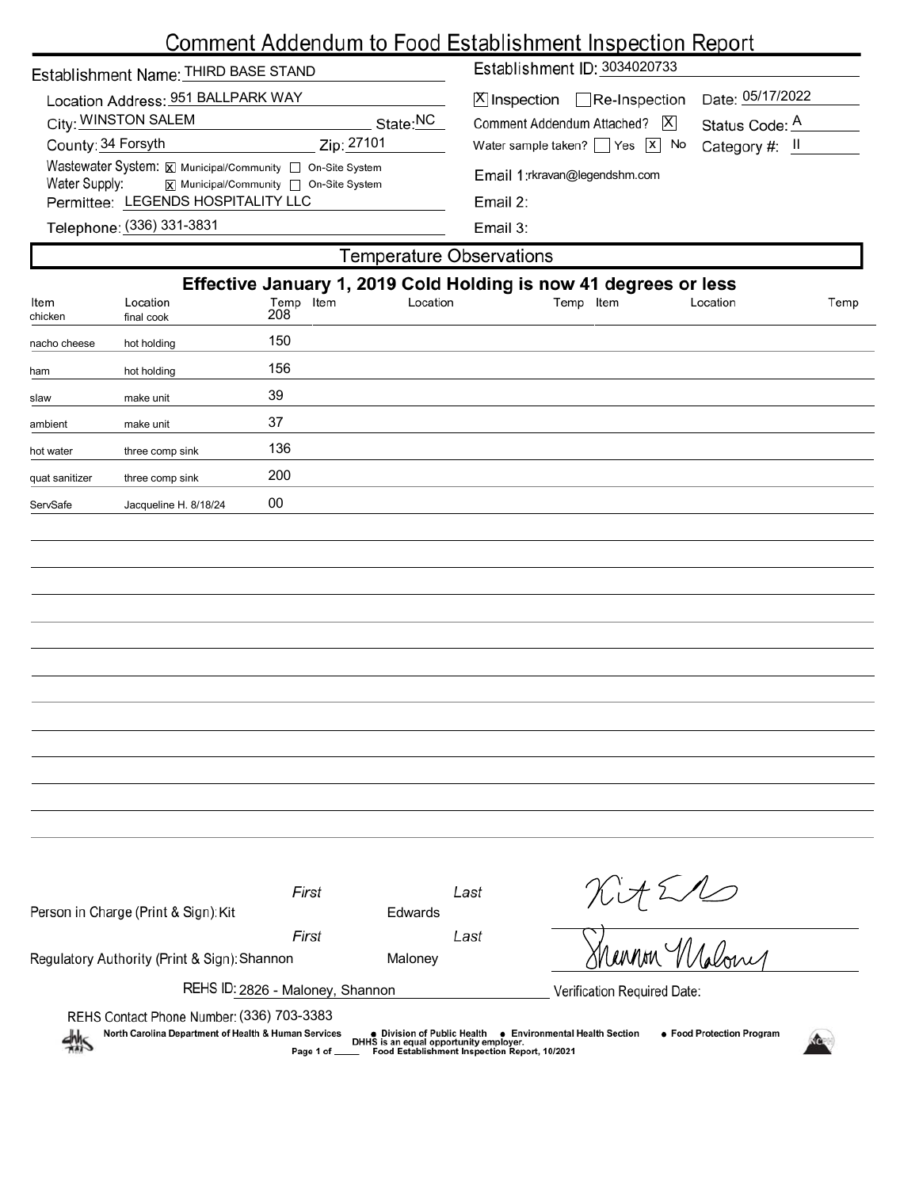|                    |                                                                                                |                                        |                                 |                                                                                                             | <u>Comment Addendum to Food Establishment Inspection Report</u>  |                         |      |  |  |  |  |  |  |
|--------------------|------------------------------------------------------------------------------------------------|----------------------------------------|---------------------------------|-------------------------------------------------------------------------------------------------------------|------------------------------------------------------------------|-------------------------|------|--|--|--|--|--|--|
|                    | Establishment Name: THIRD BASE STAND                                                           |                                        |                                 | Establishment ID: 3034020733                                                                                |                                                                  |                         |      |  |  |  |  |  |  |
|                    | Location Address: 951 BALLPARK WAY<br>City: WINSTON SALEM                                      |                                        | State:NC                        | Date: 05/17/2022<br>$X$ Inspection $\Box$ Re-Inspection<br>Comment Addendum Attached?   X<br>Status Code: A |                                                                  |                         |      |  |  |  |  |  |  |
| County: 34 Forsyth |                                                                                                | Zip: 27101                             |                                 |                                                                                                             | Water sample taken? $\Box$ Yes $\Box$ No                         | Category #: $\parallel$ |      |  |  |  |  |  |  |
| Water Supply:      | Wastewater System: X Municipal/Community non-Site System<br>Permittee: LEGENDS HOSPITALITY LLC | X Municipal/Community   On-Site System |                                 | Email 1: rkravan@legendshm.com<br>Email 2:                                                                  |                                                                  |                         |      |  |  |  |  |  |  |
|                    | Telephone: (336) 331-3831                                                                      |                                        |                                 | Email 3:                                                                                                    |                                                                  |                         |      |  |  |  |  |  |  |
|                    |                                                                                                |                                        | <b>Temperature Observations</b> |                                                                                                             |                                                                  |                         |      |  |  |  |  |  |  |
|                    |                                                                                                |                                        |                                 |                                                                                                             | Effective January 1, 2019 Cold Holding is now 41 degrees or less |                         |      |  |  |  |  |  |  |
| ltem<br>chicken    | Location<br>final cook                                                                         | Temp Item<br>208                       | Location                        |                                                                                                             | Temp Item                                                        | Location                | Temp |  |  |  |  |  |  |
| nacho cheese       | hot holding                                                                                    | 150                                    |                                 |                                                                                                             |                                                                  |                         |      |  |  |  |  |  |  |
| ham                | hot holding                                                                                    | 156                                    |                                 |                                                                                                             |                                                                  |                         |      |  |  |  |  |  |  |
| slaw               | make unit                                                                                      | 39                                     |                                 |                                                                                                             |                                                                  |                         |      |  |  |  |  |  |  |
| ambient            | make unit                                                                                      | 37                                     |                                 |                                                                                                             |                                                                  |                         |      |  |  |  |  |  |  |
| hot water          | three comp sink                                                                                | 136                                    |                                 |                                                                                                             |                                                                  |                         |      |  |  |  |  |  |  |
| quat sanitizer     | three comp sink                                                                                | 200                                    |                                 |                                                                                                             |                                                                  |                         |      |  |  |  |  |  |  |
| ServSafe           | Jacqueline H. 8/18/24                                                                          | 00                                     |                                 |                                                                                                             |                                                                  |                         |      |  |  |  |  |  |  |
|                    |                                                                                                |                                        |                                 |                                                                                                             |                                                                  |                         |      |  |  |  |  |  |  |
|                    |                                                                                                |                                        |                                 |                                                                                                             |                                                                  |                         |      |  |  |  |  |  |  |
|                    |                                                                                                |                                        |                                 |                                                                                                             |                                                                  |                         |      |  |  |  |  |  |  |
|                    |                                                                                                |                                        |                                 |                                                                                                             |                                                                  |                         |      |  |  |  |  |  |  |
|                    |                                                                                                |                                        |                                 |                                                                                                             |                                                                  |                         |      |  |  |  |  |  |  |
|                    |                                                                                                |                                        |                                 |                                                                                                             |                                                                  |                         |      |  |  |  |  |  |  |
|                    |                                                                                                |                                        |                                 |                                                                                                             |                                                                  |                         |      |  |  |  |  |  |  |
|                    |                                                                                                |                                        |                                 |                                                                                                             |                                                                  |                         |      |  |  |  |  |  |  |
|                    |                                                                                                |                                        |                                 |                                                                                                             |                                                                  |                         |      |  |  |  |  |  |  |
|                    |                                                                                                |                                        |                                 |                                                                                                             |                                                                  |                         |      |  |  |  |  |  |  |
|                    |                                                                                                |                                        |                                 |                                                                                                             |                                                                  |                         |      |  |  |  |  |  |  |
|                    |                                                                                                |                                        |                                 |                                                                                                             |                                                                  |                         |      |  |  |  |  |  |  |
|                    |                                                                                                | First                                  |                                 | Last                                                                                                        |                                                                  | Kit Ell                 |      |  |  |  |  |  |  |
|                    | Person in Charge (Print & Sign): Kit                                                           | First                                  | Edwards                         | Last                                                                                                        |                                                                  |                         |      |  |  |  |  |  |  |
|                    | Regulatory Authority (Print & Sign): Shannon                                                   |                                        | Maloney                         |                                                                                                             |                                                                  |                         |      |  |  |  |  |  |  |

REHS ID: 2826 - Maloney, Shannon

 $\frac{dh}{dh}$ 

(336) 703-3383

Verification Required Date: